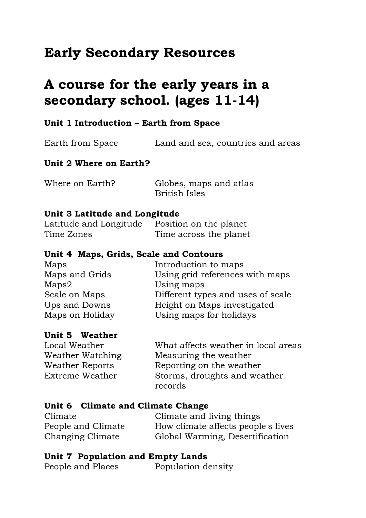# **Early Secondary Resources**

# **A course for the early years in a secondary school. (ages 11-14)**

# **Unit 1 Introduction – Earth from Space**

| Earth from Space       | Land and sea, countries and areas |  |
|------------------------|-----------------------------------|--|
| Unit 2 Where on Earth? |                                   |  |

| Where on Earth? | Globes, maps and atlas |
|-----------------|------------------------|
|                 | <b>British Isles</b>   |

#### **Unit 3 Latitude and Longitude**

Latitude and Longitude Position on the planet Time Zones Time across the planet

#### **Unit 4 Maps, Grids, Scale and Contours**

| Maps            | Introduction to maps              |
|-----------------|-----------------------------------|
| Maps and Grids  | Using grid references with maps   |
| Maps2           | Using maps                        |
| Scale on Maps   | Different types and uses of scale |
| Ups and Downs   | Height on Maps investigated       |
| Maps on Holiday | Using maps for holidays           |
|                 |                                   |

#### **Unit 5 Weather**

Local Weather What affects weather in local areas Weather Watching Measuring the weather Weather Reports Reporting on the weather Extreme Weather Storms, droughts and weather records

#### **Unit 6 Climate and Climate Change**

| Climate            | Climate and living things          |
|--------------------|------------------------------------|
| People and Climate | How climate affects people's lives |
| Changing Climate   | Global Warming, Desertification    |

#### **Unit 7 Population and Empty Lands**

People and Places Population density